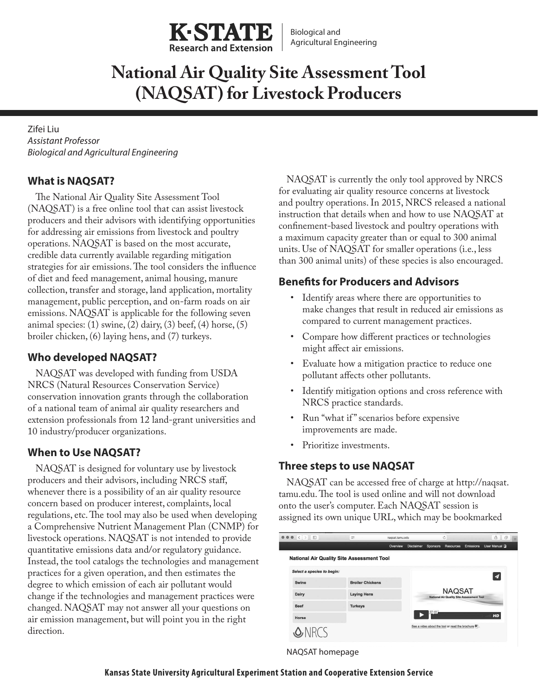

# **National Air Quality Site Assessment Tool (NAQSAT) for Livestock Producers**

Zifei Liu *Assistant Professor Biological and Agricultural Engineering*

## **What is NAQSAT?**

The National Air Quality Site Assessment Tool (NAQSAT) is a free online tool that can assist livestock producers and their advisors with identifying opportunities for addressing air emissions from livestock and poultry operations. NAQSAT is based on the most accurate, credible data currently available regarding mitigation strategies for air emissions. The tool considers the influence of diet and feed management, animal housing, manure collection, transfer and storage, land application, mortality management, public perception, and on-farm roads on air emissions. NAQSAT is applicable for the following seven animal species:  $(1)$  swine,  $(2)$  dairy,  $(3)$  beef,  $(4)$  horse,  $(5)$ broiler chicken, (6) laying hens, and (7) turkeys.

## **Who developed NAQSAT?**

NAQSAT was developed with funding from USDA NRCS (Natural Resources Conservation Service) conservation innovation grants through the collaboration of a national team of animal air quality researchers and extension professionals from 12 land-grant universities and 10 industry/producer organizations.

## **When to Use NAQSAT?**

NAQSAT is designed for voluntary use by livestock producers and their advisors, including NRCS staff, whenever there is a possibility of an air quality resource concern based on producer interest, complaints, local regulations, etc. The tool may also be used when developing a Comprehensive Nutrient Management Plan (CNMP) for livestock operations. NAQSAT is not intended to provide quantitative emissions data and/or regulatory guidance. Instead, the tool catalogs the technologies and management practices for a given operation, and then estimates the degree to which emission of each air pollutant would change if the technologies and management practices were changed. NAQSAT may not answer all your questions on air emission management, but will point you in the right direction.

NAQSAT is currently the only tool approved by NRCS for evaluating air quality resource concerns at livestock and poultry operations. In 2015, NRCS released a national instruction that details when and how to use NAQSAT at confinement-based livestock and poultry operations with a maximum capacity greater than or equal to 300 animal units. Use of NAQSAT for smaller operations (i.e., less than 300 animal units) of these species is also encouraged.

## **Benefits for Producers and Advisors**

- Identify areas where there are opportunities to make changes that result in reduced air emissions as compared to current management practices.
- Compare how different practices or technologies might affect air emissions.
- Evaluate how a mitigation practice to reduce one pollutant affects other pollutants.
- Identify mitigation options and cross reference with NRCS practice standards.
- Run "what if" scenarios before expensive improvements are made.
- Prioritize investments.

## **Three steps to use NAQSAT**

NAQSAT can be accessed free of charge at http://naqsat. tamu.edu. The tool is used online and will not download onto the user's computer. Each NAQSAT session is assigned its own unique URL, which may be bookmarked



NAQSAT homepage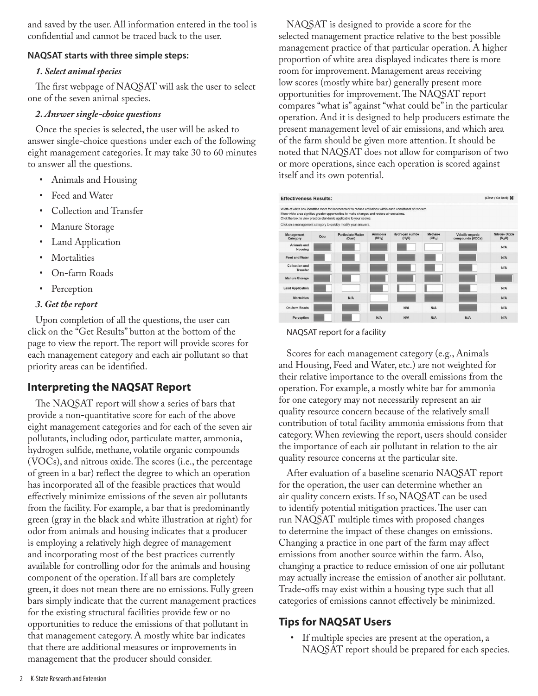and saved by the user. All information entered in the tool is confidential and cannot be traced back to the user.

#### **NAQSAT starts with three simple steps:**

#### *1. Select animal species*

The first webpage of NAQSAT will ask the user to select one of the seven animal species.

#### *2. Answer single-choice questions*

Once the species is selected, the user will be asked to answer single-choice questions under each of the following eight management categories. It may take 30 to 60 minutes to answer all the questions.

- Animals and Housing
- Feed and Water
- Collection and Transfer
- Manure Storage
- **Land Application**
- **Mortalities**
- On-farm Roads
- **Perception**

### *3. Get the report*

Upon completion of all the questions, the user can click on the "Get Results" button at the bottom of the page to view the report. The report will provide scores for each management category and each air pollutant so that priority areas can be identified.

## **Interpreting the NAQSAT Report**

The NAQSAT report will show a series of bars that provide a non-quantitative score for each of the above eight management categories and for each of the seven air pollutants, including odor, particulate matter, ammonia, hydrogen sulfide, methane, volatile organic compounds (VOCs), and nitrous oxide. The scores (i.e., the percentage of green in a bar) reflect the degree to which an operation has incorporated all of the feasible practices that would effectively minimize emissions of the seven air pollutants from the facility. For example, a bar that is predominantly green (gray in the black and white illustration at right) for odor from animals and housing indicates that a producer is employing a relatively high degree of management and incorporating most of the best practices currently available for controlling odor for the animals and housing component of the operation. If all bars are completely green, it does not mean there are no emissions. Fully green bars simply indicate that the current management practices for the existing structural facilities provide few or no opportunities to reduce the emissions of that pollutant in that management category. A mostly white bar indicates that there are additional measures or improvements in management that the producer should consider.

NAQSAT is designed to provide a score for the selected management practice relative to the best possible management practice of that particular operation. A higher proportion of white area displayed indicates there is more room for improvement. Management areas receiving low scores (mostly white bar) generally present more opportunities for improvement. The NAQSAT report compares "what is" against "what could be" in the particular operation. And it is designed to help producers estimate the present management level of air emissions, and which area of the farm should be given more attention. It should be noted that NAQSAT does not allow for comparison of two or more operations, since each operation is scored against itself and its own potential.

| (Close / Go Back)<br><b>Effectiveness Results:</b>                                                                                                                                                                                                                             |      |                                     |                     |                                        |                               |                                      |                                  |
|--------------------------------------------------------------------------------------------------------------------------------------------------------------------------------------------------------------------------------------------------------------------------------|------|-------------------------------------|---------------------|----------------------------------------|-------------------------------|--------------------------------------|----------------------------------|
| Width of white box identifies room for improvement to reduce emissions within each constituent of concern.<br>More white area signifies greater opportunities to make changes and reduce air emissions.<br>Click the box to view practice standards applicable to your scores. |      |                                     |                     |                                        |                               |                                      |                                  |
| Click on a management category to quickly modify your answers.                                                                                                                                                                                                                 |      |                                     |                     |                                        |                               |                                      |                                  |
| Management<br>Category                                                                                                                                                                                                                                                         | Odor | <b>Particulate Matter</b><br>(Dust) | Ammonia<br>$(NH_3)$ | Hydrogen sulfide<br>(H <sub>2</sub> S) | Methane<br>(CH <sub>4</sub> ) | Volatile organic<br>compounds (VOCs) | <b>Nitrous Oxide</b><br>$(N_2O)$ |
| Animals and<br>Housing                                                                                                                                                                                                                                                         |      |                                     |                     |                                        |                               |                                      | N/A                              |
| <b>Feed and Water</b>                                                                                                                                                                                                                                                          |      |                                     |                     |                                        |                               |                                      | N/A                              |
| Collection and<br><b>Transfer</b>                                                                                                                                                                                                                                              |      |                                     |                     |                                        |                               |                                      | N/A                              |
| <b>Manure Storage</b>                                                                                                                                                                                                                                                          |      |                                     |                     |                                        |                               |                                      |                                  |
| <b>Land Application</b>                                                                                                                                                                                                                                                        |      |                                     |                     |                                        |                               |                                      | N/A                              |
| <b>Mortalities</b>                                                                                                                                                                                                                                                             |      | <b>N/A</b>                          |                     |                                        |                               |                                      | N/A                              |
| <b>On-farm Roads</b>                                                                                                                                                                                                                                                           |      |                                     |                     | N/A                                    | N/A                           |                                      | N/A                              |
| Perception                                                                                                                                                                                                                                                                     |      |                                     | N/A                 | N/A                                    | N/A                           | N/A                                  | N/A                              |

#### NAQSAT report for a facility

Scores for each management category (e.g., Animals and Housing, Feed and Water, etc.) are not weighted for their relative importance to the overall emissions from the operation. For example, a mostly white bar for ammonia for one category may not necessarily represent an air quality resource concern because of the relatively small contribution of total facility ammonia emissions from that category. When reviewing the report, users should consider the importance of each air pollutant in relation to the air quality resource concerns at the particular site.

After evaluation of a baseline scenario NAQSAT report for the operation, the user can determine whether an air quality concern exists. If so, NAQSAT can be used to identify potential mitigation practices. The user can run NAQSAT multiple times with proposed changes to determine the impact of these changes on emissions. Changing a practice in one part of the farm may affect emissions from another source within the farm. Also, changing a practice to reduce emission of one air pollutant may actually increase the emission of another air pollutant. Trade-offs may exist within a housing type such that all categories of emissions cannot effectively be minimized.

## **Tips for NAQSAT Users**

• If multiple species are present at the operation, a NAQSAT report should be prepared for each species.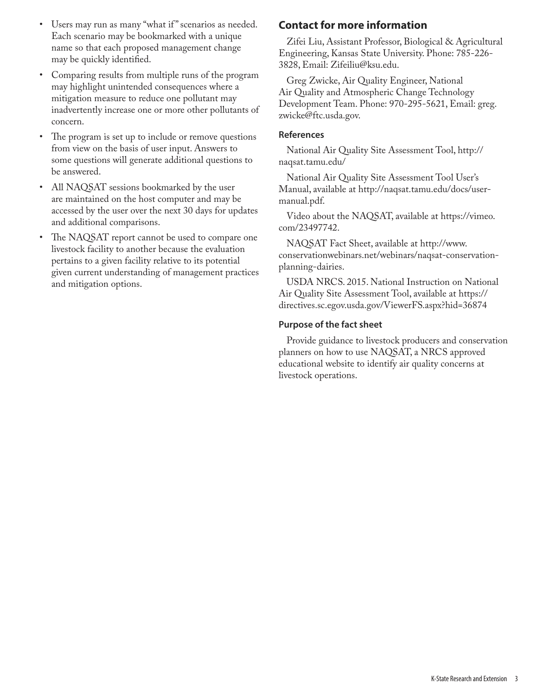- Users may run as many "what if " scenarios as needed. Each scenario may be bookmarked with a unique name so that each proposed management change may be quickly identified.
- Comparing results from multiple runs of the program may highlight unintended consequences where a mitigation measure to reduce one pollutant may inadvertently increase one or more other pollutants of concern.
- The program is set up to include or remove questions from view on the basis of user input. Answers to some questions will generate additional questions to be answered.
- All NAQSAT sessions bookmarked by the user are maintained on the host computer and may be accessed by the user over the next 30 days for updates and additional comparisons.
- The NAQSAT report cannot be used to compare one livestock facility to another because the evaluation pertains to a given facility relative to its potential given current understanding of management practices and mitigation options.

## **Contact for more information**

Zifei Liu, Assistant Professor, Biological & Agricultural Engineering, Kansas State University. Phone: 785-226- 3828, Email: Zifeiliu@ksu.edu.

Greg Zwicke, Air Quality Engineer, National Air Quality and Atmospheric Change Technology Development Team. Phone: 970-295-5621, Email: greg. zwicke@ftc.usda.gov.

#### **References**

National Air Quality Site Assessment Tool, http:// naqsat.tamu.edu/

National Air Quality Site Assessment Tool User's Manual, available at http://naqsat.tamu.edu/docs/usermanual.pdf.

Video about the NAQSAT, available at https://vimeo. com/23497742.

NAQSAT Fact Sheet, available at http://www. conservationwebinars.net/webinars/naqsat-conservationplanning-dairies.

USDA NRCS. 2015. National Instruction on National Air Quality Site Assessment Tool, available at https:// directives.sc.egov.usda.gov/ViewerFS.aspx?hid=36874

### **Purpose of the fact sheet**

Provide guidance to livestock producers and conservation planners on how to use NAQSAT, a NRCS approved educational website to identify air quality concerns at livestock operations.